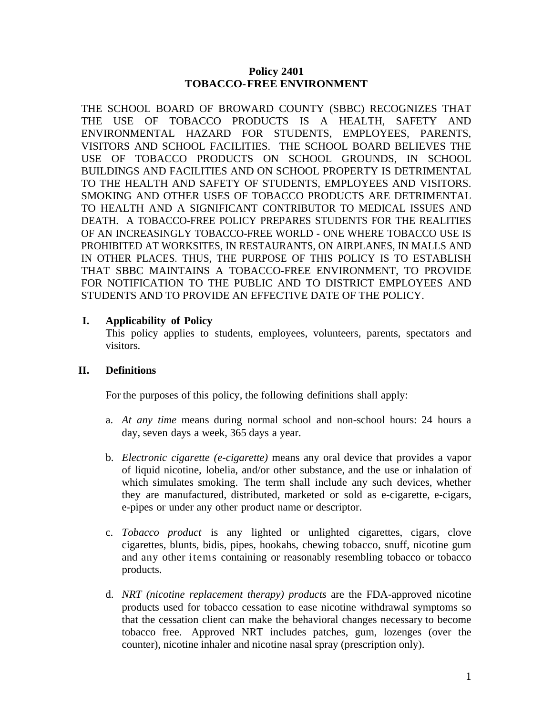### **Policy 2401 TOBACCO-FREE ENVIRONMENT**

THE SCHOOL BOARD OF BROWARD COUNTY (SBBC) RECOGNIZES THAT THE USE OF TOBACCO PRODUCTS IS A HEALTH, SAFETY AND ENVIRONMENTAL HAZARD FOR STUDENTS, EMPLOYEES, PARENTS, VISITORS AND SCHOOL FACILITIES. THE SCHOOL BOARD BELIEVES THE USE OF TOBACCO PRODUCTS ON SCHOOL GROUNDS, IN SCHOOL BUILDINGS AND FACILITIES AND ON SCHOOL PROPERTY IS DETRIMENTAL TO THE HEALTH AND SAFETY OF STUDENTS, EMPLOYEES AND VISITORS. SMOKING AND OTHER USES OF TOBACCO PRODUCTS ARE DETRIMENTAL TO HEALTH AND A SIGNIFICANT CONTRIBUTOR TO MEDICAL ISSUES AND DEATH. A TOBACCO-FREE POLICY PREPARES STUDENTS FOR THE REALITIES OF AN INCREASINGLY TOBACCO-FREE WORLD - ONE WHERE TOBACCO USE IS PROHIBITED AT WORKSITES, IN RESTAURANTS, ON AIRPLANES, IN MALLS AND IN OTHER PLACES. THUS, THE PURPOSE OF THIS POLICY IS TO ESTABLISH THAT SBBC MAINTAINS A TOBACCO-FREE ENVIRONMENT, TO PROVIDE FOR NOTIFICATION TO THE PUBLIC AND TO DISTRICT EMPLOYEES AND STUDENTS AND TO PROVIDE AN EFFECTIVE DATE OF THE POLICY.

## **I. Applicability of Policy**

This policy applies to students, employees, volunteers, parents, spectators and visitors.

# **II. Definitions**

For the purposes of this policy, the following definitions shall apply:

- a. *At any time* means during normal school and non-school hours: 24 hours a day, seven days a week, 365 days a year.
- b. *Electronic cigarette (e-cigarette)* means any oral device that provides a vapor of liquid nicotine, lobelia, and/or other substance, and the use or inhalation of which simulates smoking. The term shall include any such devices, whether they are manufactured, distributed, marketed or sold as e-cigarette, e-cigars, e-pipes or under any other product name or descriptor.
- c. *Tobacco product* is any lighted or unlighted cigarettes, cigars, clove cigarettes, blunts, bidis, pipes, hookahs, chewing tobacco, snuff, nicotine gum and any other items containing or reasonably resembling tobacco or tobacco products.
- d. *NRT (nicotine replacement therapy) products* are the FDA-approved nicotine products used for tobacco cessation to ease nicotine withdrawal symptoms so that the cessation client can make the behavioral changes necessary to become tobacco free. Approved NRT includes patches, gum, lozenges (over the counter), nicotine inhaler and nicotine nasal spray (prescription only).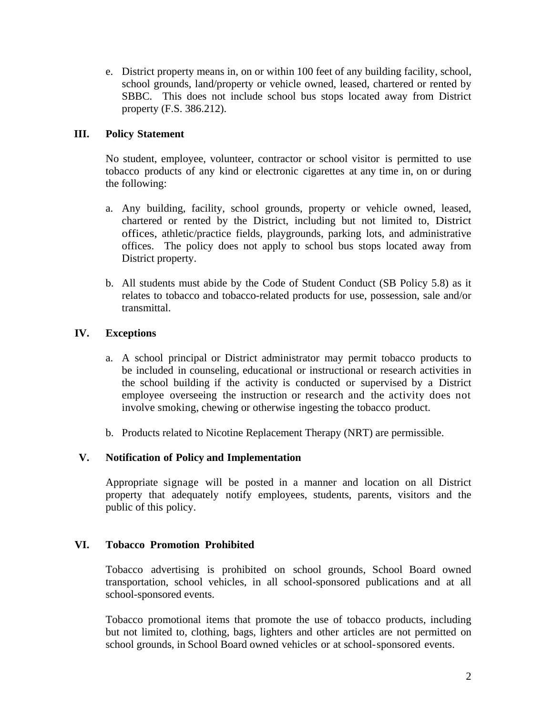e. District property means in, on or within 100 feet of any building facility, school, school grounds, land/property or vehicle owned, leased, chartered or rented by SBBC. This does not include school bus stops located away from District property (F.S. 386.212).

## **III. Policy Statement**

No student, employee, volunteer, contractor or school visitor is permitted to use tobacco products of any kind or electronic cigarettes at any time in, on or during the following:

- a. Any building, facility, school grounds, property or vehicle owned, leased, chartered or rented by the District, including but not limited to, District offices, athletic/practice fields, playgrounds, parking lots, and administrative offices. The policy does not apply to school bus stops located away from District property.
- b. All students must abide by the Code of Student Conduct (SB Policy 5.8) as it relates to tobacco and tobacco-related products for use, possession, sale and/or transmittal.

## **IV. Exceptions**

- a. A school principal or District administrator may permit tobacco products to be included in counseling, educational or instructional or research activities in the school building if the activity is conducted or supervised by a District employee overseeing the instruction or research and the activity does not involve smoking, chewing or otherwise ingesting the tobacco product.
- b. Products related to Nicotine Replacement Therapy (NRT) are permissible.

#### **V. Notification of Policy and Implementation**

Appropriate signage will be posted in a manner and location on all District property that adequately notify employees, students, parents, visitors and the public of this policy.

#### **VI. Tobacco Promotion Prohibited**

Tobacco advertising is prohibited on school grounds, School Board owned transportation, school vehicles, in all school-sponsored publications and at all school-sponsored events.

Tobacco promotional items that promote the use of tobacco products, including but not limited to, clothing, bags, lighters and other articles are not permitted on school grounds, in School Board owned vehicles or at school-sponsored events.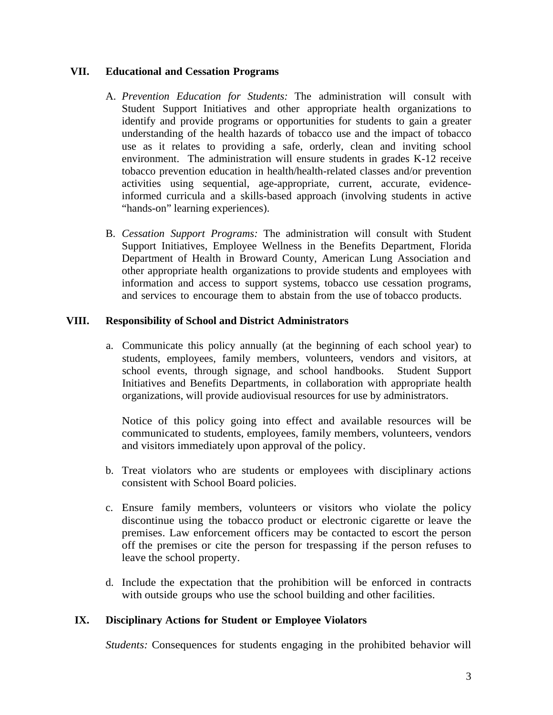### **VII. Educational and Cessation Programs**

- A. *Prevention Education for Students:* The administration will consult with Student Support Initiatives and other appropriate health organizations to identify and provide programs or opportunities for students to gain a greater understanding of the health hazards of tobacco use and the impact of tobacco use as it relates to providing a safe, orderly, clean and inviting school environment. The administration will ensure students in grades K-12 receive tobacco prevention education in health/health-related classes and/or prevention activities using sequential, age-appropriate, current, accurate, evidenceinformed curricula and a skills-based approach (involving students in active "hands-on" learning experiences).
- B. *Cessation Support Programs:* The administration will consult with Student Support Initiatives, Employee Wellness in the Benefits Department, Florida Department of Health in Broward County, American Lung Association and other appropriate health organizations to provide students and employees with information and access to support systems, tobacco use cessation programs, and services to encourage them to abstain from the use of tobacco products.

## **VIII. Responsibility of School and District Administrators**

a. Communicate this policy annually (at the beginning of each school year) to students, employees, family members, volunteers, vendors and visitors, at school events, through signage, and school handbooks. Student Support Initiatives and Benefits Departments, in collaboration with appropriate health organizations, will provide audiovisual resources for use by administrators.

Notice of this policy going into effect and available resources will be communicated to students, employees, family members, volunteers, vendors and visitors immediately upon approval of the policy.

- b. Treat violators who are students or employees with disciplinary actions consistent with School Board policies.
- c. Ensure family members, volunteers or visitors who violate the policy discontinue using the tobacco product or electronic cigarette or leave the premises. Law enforcement officers may be contacted to escort the person off the premises or cite the person for trespassing if the person refuses to leave the school property.
- d. Include the expectation that the prohibition will be enforced in contracts with outside groups who use the school building and other facilities.

# **IX. Disciplinary Actions for Student or Employee Violators**

*Students:* Consequences for students engaging in the prohibited behavior will